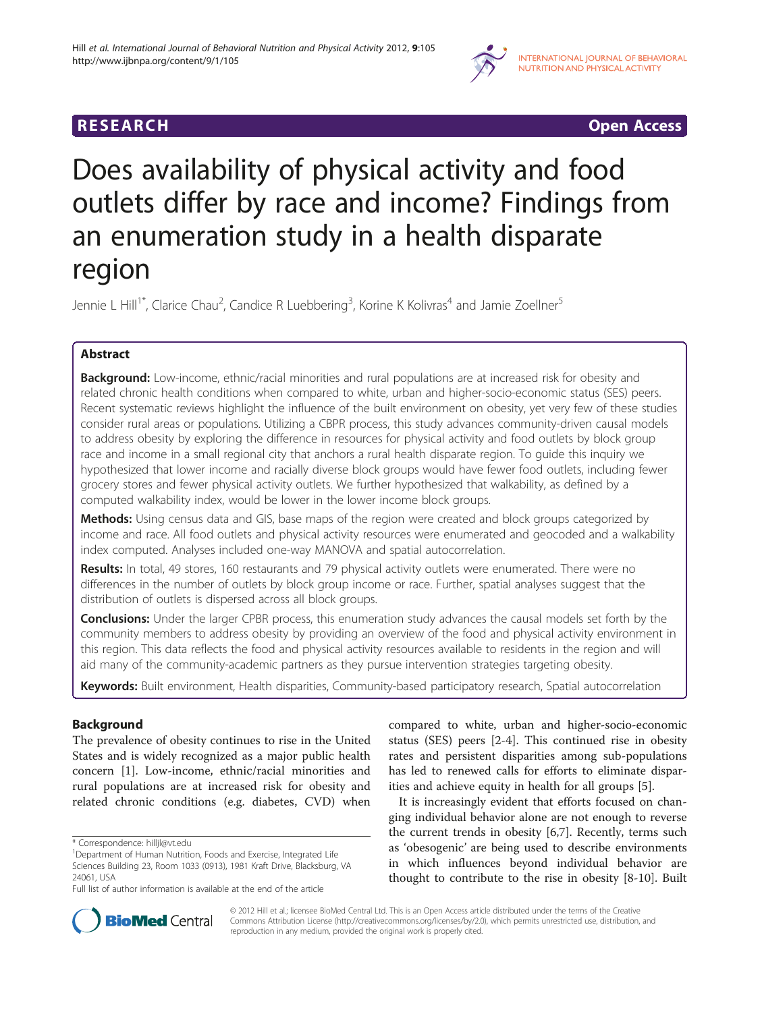

**RESEARCH RESEARCH CONSUMING ACCESS** 

# Does availability of physical activity and food outlets differ by race and income? Findings from an enumeration study in a health disparate region

Jennie L Hill<sup>1\*</sup>, Clarice Chau<sup>2</sup>, Candice R Luebbering<sup>3</sup>, Korine K Kolivras<sup>4</sup> and Jamie Zoellner<sup>5</sup>

# Abstract

**Background:** Low-income, ethnic/racial minorities and rural populations are at increased risk for obesity and related chronic health conditions when compared to white, urban and higher-socio-economic status (SES) peers. Recent systematic reviews highlight the influence of the built environment on obesity, yet very few of these studies consider rural areas or populations. Utilizing a CBPR process, this study advances community-driven causal models to address obesity by exploring the difference in resources for physical activity and food outlets by block group race and income in a small regional city that anchors a rural health disparate region. To guide this inquiry we hypothesized that lower income and racially diverse block groups would have fewer food outlets, including fewer grocery stores and fewer physical activity outlets. We further hypothesized that walkability, as defined by a computed walkability index, would be lower in the lower income block groups.

**Methods:** Using census data and GIS, base maps of the region were created and block groups categorized by income and race. All food outlets and physical activity resources were enumerated and geocoded and a walkability index computed. Analyses included one-way MANOVA and spatial autocorrelation.

Results: In total, 49 stores, 160 restaurants and 79 physical activity outlets were enumerated. There were no differences in the number of outlets by block group income or race. Further, spatial analyses suggest that the distribution of outlets is dispersed across all block groups.

**Conclusions:** Under the larger CPBR process, this enumeration study advances the causal models set forth by the community members to address obesity by providing an overview of the food and physical activity environment in this region. This data reflects the food and physical activity resources available to residents in the region and will aid many of the community-academic partners as they pursue intervention strategies targeting obesity.

Keywords: Built environment, Health disparities, Community-based participatory research, Spatial autocorrelation

# Background

The prevalence of obesity continues to rise in the United States and is widely recognized as a major public health concern [\[1](#page-8-0)]. Low-income, ethnic/racial minorities and rural populations are at increased risk for obesity and related chronic conditions (e.g. diabetes, CVD) when

\* Correspondence: [hilljl@vt.edu](mailto:hilljl@vt.edu) <sup>1</sup>

compared to white, urban and higher-socio-economic status (SES) peers [\[2-4](#page-8-0)]. This continued rise in obesity rates and persistent disparities among sub-populations has led to renewed calls for efforts to eliminate disparities and achieve equity in health for all groups [\[5\]](#page-8-0).

It is increasingly evident that efforts focused on changing individual behavior alone are not enough to reverse the current trends in obesity [\[6,7](#page-8-0)]. Recently, terms such as 'obesogenic' are being used to describe environments in which influences beyond individual behavior are thought to contribute to the rise in obesity [[8-10](#page-8-0)]. Built



© 2012 Hill et al.; licensee BioMed Central Ltd. This is an Open Access article distributed under the terms of the Creative Commons Attribution License [\(http://creativecommons.org/licenses/by/2.0\)](http://creativecommons.org/licenses/by/2.0), which permits unrestricted use, distribution, and reproduction in any medium, provided the original work is properly cited.

Department of Human Nutrition, Foods and Exercise, Integrated Life Sciences Building 23, Room 1033 (0913), 1981 Kraft Drive, Blacksburg, VA 24061, USA

Full list of author information is available at the end of the article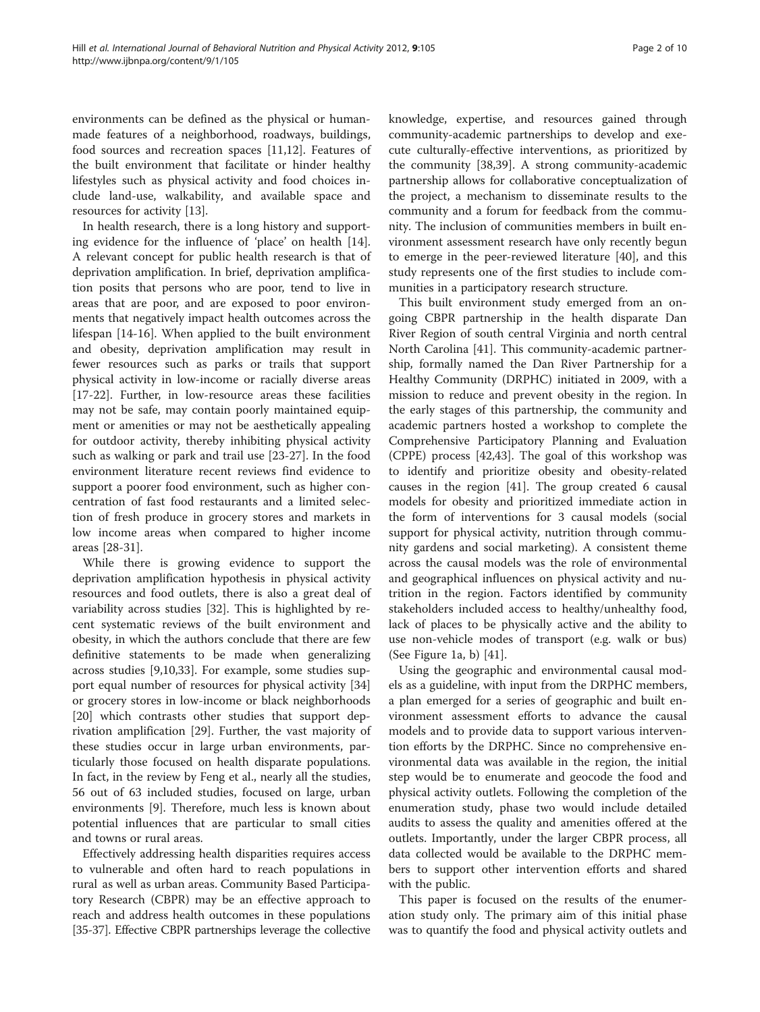environments can be defined as the physical or humanmade features of a neighborhood, roadways, buildings, food sources and recreation spaces [[11](#page-8-0),[12](#page-8-0)]. Features of the built environment that facilitate or hinder healthy lifestyles such as physical activity and food choices include land-use, walkability, and available space and resources for activity [\[13\]](#page-8-0).

In health research, there is a long history and supporting evidence for the influence of 'place' on health [\[14](#page-8-0)]. A relevant concept for public health research is that of deprivation amplification. In brief, deprivation amplification posits that persons who are poor, tend to live in areas that are poor, and are exposed to poor environments that negatively impact health outcomes across the lifespan [[14](#page-8-0)-[16\]](#page-8-0). When applied to the built environment and obesity, deprivation amplification may result in fewer resources such as parks or trails that support physical activity in low-income or racially diverse areas [[17-22](#page-8-0)]. Further, in low-resource areas these facilities may not be safe, may contain poorly maintained equipment or amenities or may not be aesthetically appealing for outdoor activity, thereby inhibiting physical activity such as walking or park and trail use [\[23](#page-8-0)-[27\]](#page-8-0). In the food environment literature recent reviews find evidence to support a poorer food environment, such as higher concentration of fast food restaurants and a limited selection of fresh produce in grocery stores and markets in low income areas when compared to higher income areas [[28](#page-8-0)-[31\]](#page-8-0).

While there is growing evidence to support the deprivation amplification hypothesis in physical activity resources and food outlets, there is also a great deal of variability across studies [[32\]](#page-8-0). This is highlighted by recent systematic reviews of the built environment and obesity, in which the authors conclude that there are few definitive statements to be made when generalizing across studies [[9](#page-8-0),[10](#page-8-0),[33](#page-8-0)]. For example, some studies support equal number of resources for physical activity [[34](#page-8-0)] or grocery stores in low-income or black neighborhoods [[20\]](#page-8-0) which contrasts other studies that support deprivation amplification [[29](#page-8-0)]. Further, the vast majority of these studies occur in large urban environments, particularly those focused on health disparate populations. In fact, in the review by Feng et al., nearly all the studies, 56 out of 63 included studies, focused on large, urban environments [[9\]](#page-8-0). Therefore, much less is known about potential influences that are particular to small cities and towns or rural areas.

Effectively addressing health disparities requires access to vulnerable and often hard to reach populations in rural as well as urban areas. Community Based Participatory Research (CBPR) may be an effective approach to reach and address health outcomes in these populations [[35-37\]](#page-8-0). Effective CBPR partnerships leverage the collective knowledge, expertise, and resources gained through community-academic partnerships to develop and execute culturally-effective interventions, as prioritized by the community [[38,39](#page-8-0)]. A strong community-academic partnership allows for collaborative conceptualization of the project, a mechanism to disseminate results to the community and a forum for feedback from the community. The inclusion of communities members in built environment assessment research have only recently begun to emerge in the peer-reviewed literature [[40](#page-8-0)], and this study represents one of the first studies to include communities in a participatory research structure.

This built environment study emerged from an ongoing CBPR partnership in the health disparate Dan River Region of south central Virginia and north central North Carolina [[41\]](#page-8-0). This community-academic partnership, formally named the Dan River Partnership for a Healthy Community (DRPHC) initiated in 2009, with a mission to reduce and prevent obesity in the region. In the early stages of this partnership, the community and academic partners hosted a workshop to complete the Comprehensive Participatory Planning and Evaluation (CPPE) process [[42,](#page-8-0)[43\]](#page-9-0). The goal of this workshop was to identify and prioritize obesity and obesity-related causes in the region [[41\]](#page-8-0). The group created 6 causal models for obesity and prioritized immediate action in the form of interventions for 3 causal models (social support for physical activity, nutrition through community gardens and social marketing). A consistent theme across the causal models was the role of environmental and geographical influences on physical activity and nutrition in the region. Factors identified by community stakeholders included access to healthy/unhealthy food, lack of places to be physically active and the ability to use non-vehicle modes of transport (e.g. walk or bus) (See Figure [1a, b](#page-2-0)) [\[41](#page-8-0)].

Using the geographic and environmental causal models as a guideline, with input from the DRPHC members, a plan emerged for a series of geographic and built environment assessment efforts to advance the causal models and to provide data to support various intervention efforts by the DRPHC. Since no comprehensive environmental data was available in the region, the initial step would be to enumerate and geocode the food and physical activity outlets. Following the completion of the enumeration study, phase two would include detailed audits to assess the quality and amenities offered at the outlets. Importantly, under the larger CBPR process, all data collected would be available to the DRPHC members to support other intervention efforts and shared with the public.

This paper is focused on the results of the enumeration study only. The primary aim of this initial phase was to quantify the food and physical activity outlets and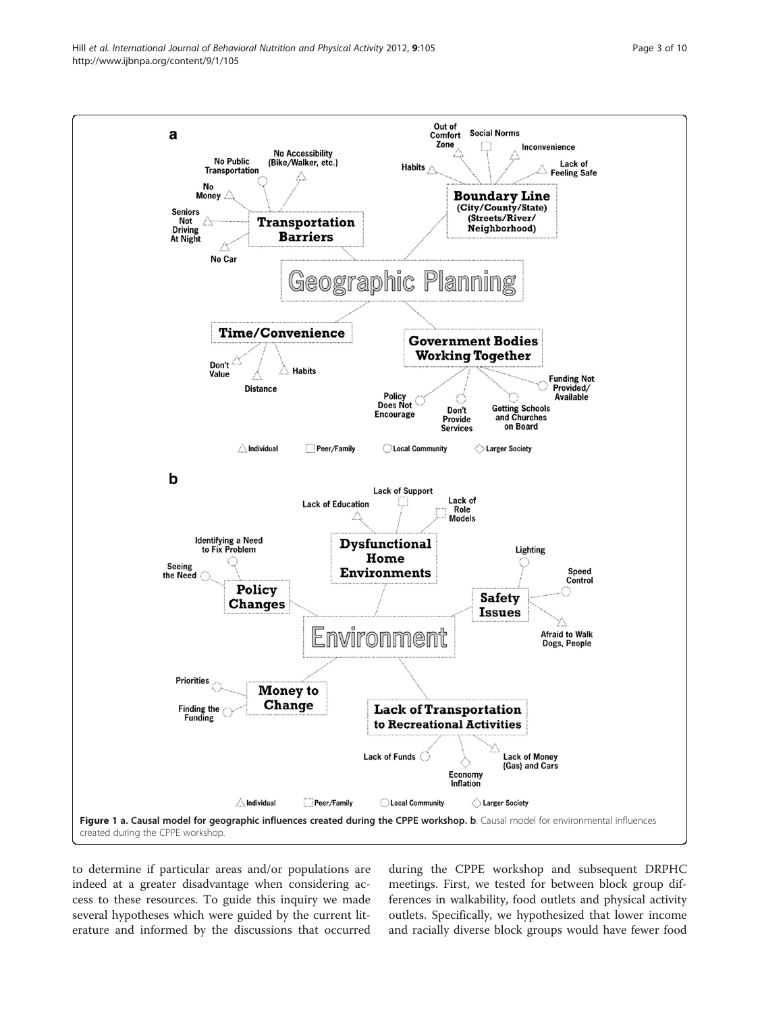<span id="page-2-0"></span>

to determine if particular areas and/or populations are indeed at a greater disadvantage when considering access to these resources. To guide this inquiry we made several hypotheses which were guided by the current literature and informed by the discussions that occurred during the CPPE workshop and subsequent DRPHC meetings. First, we tested for between block group differences in walkability, food outlets and physical activity outlets. Specifically, we hypothesized that lower income and racially diverse block groups would have fewer food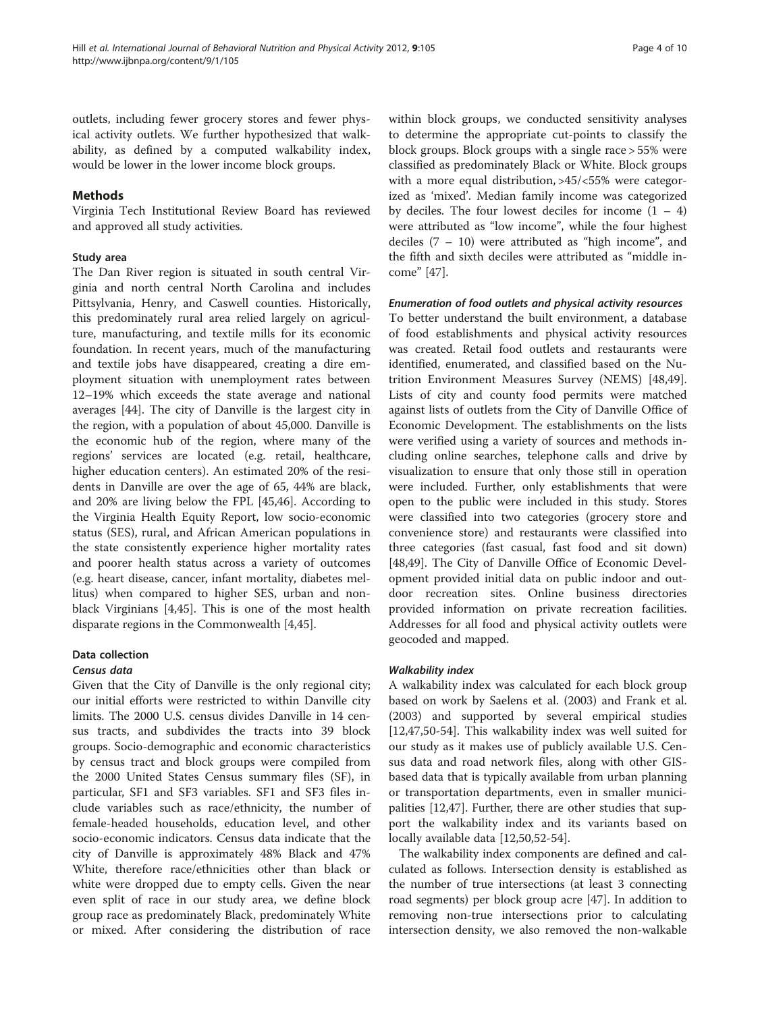outlets, including fewer grocery stores and fewer physical activity outlets. We further hypothesized that walkability, as defined by a computed walkability index, would be lower in the lower income block groups.

#### Methods

Virginia Tech Institutional Review Board has reviewed and approved all study activities.

#### Study area

The Dan River region is situated in south central Virginia and north central North Carolina and includes Pittsylvania, Henry, and Caswell counties. Historically, this predominately rural area relied largely on agriculture, manufacturing, and textile mills for its economic foundation. In recent years, much of the manufacturing and textile jobs have disappeared, creating a dire employment situation with unemployment rates between 12–19% which exceeds the state average and national averages [\[44\]](#page-9-0). The city of Danville is the largest city in the region, with a population of about 45,000. Danville is the economic hub of the region, where many of the regions' services are located (e.g. retail, healthcare, higher education centers). An estimated 20% of the residents in Danville are over the age of 65, 44% are black, and 20% are living below the FPL [\[45,46](#page-9-0)]. According to the Virginia Health Equity Report, low socio-economic status (SES), rural, and African American populations in the state consistently experience higher mortality rates and poorer health status across a variety of outcomes (e.g. heart disease, cancer, infant mortality, diabetes mellitus) when compared to higher SES, urban and nonblack Virginians [[4,](#page-8-0)[45\]](#page-9-0). This is one of the most health disparate regions in the Commonwealth [[4,](#page-8-0)[45\]](#page-9-0).

#### Data collection

#### Census data

Given that the City of Danville is the only regional city; our initial efforts were restricted to within Danville city limits. The 2000 U.S. census divides Danville in 14 census tracts, and subdivides the tracts into 39 block groups. Socio-demographic and economic characteristics by census tract and block groups were compiled from the 2000 United States Census summary files (SF), in particular, SF1 and SF3 variables. SF1 and SF3 files include variables such as race/ethnicity, the number of female-headed households, education level, and other socio-economic indicators. Census data indicate that the city of Danville is approximately 48% Black and 47% White, therefore race/ethnicities other than black or white were dropped due to empty cells. Given the near even split of race in our study area, we define block group race as predominately Black, predominately White or mixed. After considering the distribution of race

within block groups, we conducted sensitivity analyses to determine the appropriate cut-points to classify the block groups. Block groups with a single race > 55% were classified as predominately Black or White. Block groups with a more equal distribution, >45/<55% were categorized as 'mixed'. Median family income was categorized by deciles. The four lowest deciles for income  $(1 - 4)$ were attributed as "low income", while the four highest deciles  $(7 - 10)$  were attributed as "high income", and the fifth and sixth deciles were attributed as "middle income" [[47](#page-9-0)].

#### Enumeration of food outlets and physical activity resources

To better understand the built environment, a database of food establishments and physical activity resources was created. Retail food outlets and restaurants were identified, enumerated, and classified based on the Nutrition Environment Measures Survey (NEMS) [\[48,49](#page-9-0)]. Lists of city and county food permits were matched against lists of outlets from the City of Danville Office of Economic Development. The establishments on the lists were verified using a variety of sources and methods including online searches, telephone calls and drive by visualization to ensure that only those still in operation were included. Further, only establishments that were open to the public were included in this study. Stores were classified into two categories (grocery store and convenience store) and restaurants were classified into three categories (fast casual, fast food and sit down) [[48,49\]](#page-9-0). The City of Danville Office of Economic Development provided initial data on public indoor and outdoor recreation sites. Online business directories provided information on private recreation facilities. Addresses for all food and physical activity outlets were geocoded and mapped.

#### Walkability index

A walkability index was calculated for each block group based on work by Saelens et al. (2003) and Frank et al. (2003) and supported by several empirical studies [[12,](#page-8-0)[47,50-54\]](#page-9-0). This walkability index was well suited for our study as it makes use of publicly available U.S. Census data and road network files, along with other GISbased data that is typically available from urban planning or transportation departments, even in smaller municipalities [[12,](#page-8-0)[47](#page-9-0)]. Further, there are other studies that support the walkability index and its variants based on locally available data [[12](#page-8-0),[50](#page-9-0),[52](#page-9-0)-[54\]](#page-9-0).

The walkability index components are defined and calculated as follows. Intersection density is established as the number of true intersections (at least 3 connecting road segments) per block group acre [\[47\]](#page-9-0). In addition to removing non-true intersections prior to calculating intersection density, we also removed the non-walkable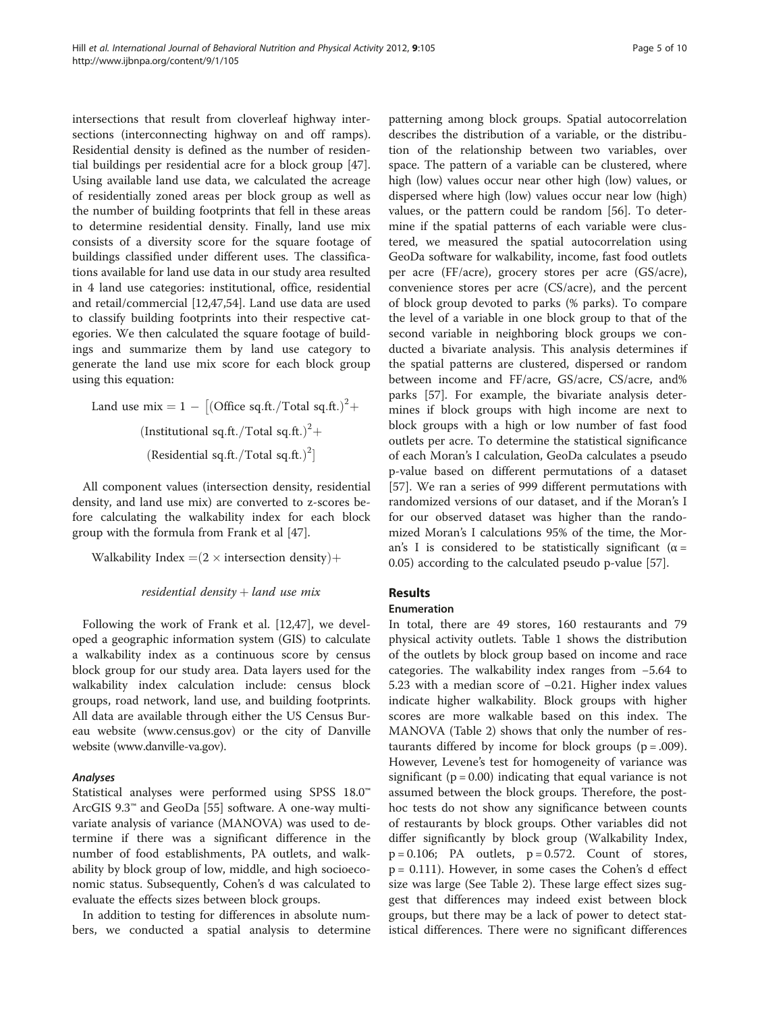intersections that result from cloverleaf highway intersections (interconnecting highway on and off ramps). Residential density is defined as the number of residential buildings per residential acre for a block group [\[47](#page-9-0)]. Using available land use data, we calculated the acreage of residentially zoned areas per block group as well as the number of building footprints that fell in these areas to determine residential density. Finally, land use mix consists of a diversity score for the square footage of buildings classified under different uses. The classifications available for land use data in our study area resulted in 4 land use categories: institutional, office, residential and retail/commercial [\[12](#page-8-0)[,47,54](#page-9-0)]. Land use data are used to classify building footprints into their respective categories. We then calculated the square footage of buildings and summarize them by land use category to generate the land use mix score for each block group using this equation:

Land use mix  $= 1 - [(Office \text{ sq.fit.}/Total \text{ sq.fit.})^2 +$  $(Institutional sq.fit./Total sq.fit.)<sup>2</sup> +$ (Residential sq.ft./Total sq.ft.)<sup>2</sup>]

All component values (intersection density, residential density, and land use mix) are converted to z-scores before calculating the walkability index for each block group with the formula from Frank et al [\[47\]](#page-9-0).

Walkability Index =  $(2 \times$  intersection density)+

residential density  $\frac{1}{1}$  land use mix

Following the work of Frank et al. [\[12,](#page-8-0)[47\]](#page-9-0), we developed a geographic information system (GIS) to calculate a walkability index as a continuous score by census block group for our study area. Data layers used for the walkability index calculation include: census block groups, road network, land use, and building footprints. All data are available through either the US Census Bureau website [\(www.census.gov\)](http://www.census.gov) or the city of Danville website [\(www.danville-va.gov](http://www.danville-va.gov)).

#### Analyses

Statistical analyses were performed using SPSS 18.0™ ArcGIS 9.3™ and GeoDa [[55](#page-9-0)] software. A one-way multivariate analysis of variance (MANOVA) was used to determine if there was a significant difference in the number of food establishments, PA outlets, and walkability by block group of low, middle, and high socioeconomic status. Subsequently, Cohen's d was calculated to evaluate the effects sizes between block groups.

In addition to testing for differences in absolute numbers, we conducted a spatial analysis to determine

patterning among block groups. Spatial autocorrelation describes the distribution of a variable, or the distribution of the relationship between two variables, over space. The pattern of a variable can be clustered, where high (low) values occur near other high (low) values, or dispersed where high (low) values occur near low (high) values, or the pattern could be random [\[56](#page-9-0)]. To determine if the spatial patterns of each variable were clustered, we measured the spatial autocorrelation using GeoDa software for walkability, income, fast food outlets per acre (FF/acre), grocery stores per acre (GS/acre), convenience stores per acre (CS/acre), and the percent of block group devoted to parks (% parks). To compare the level of a variable in one block group to that of the second variable in neighboring block groups we conducted a bivariate analysis. This analysis determines if the spatial patterns are clustered, dispersed or random between income and FF/acre, GS/acre, CS/acre, and% parks [[57\]](#page-9-0). For example, the bivariate analysis determines if block groups with high income are next to block groups with a high or low number of fast food outlets per acre. To determine the statistical significance of each Moran's I calculation, GeoDa calculates a pseudo p-value based on different permutations of a dataset [[57\]](#page-9-0). We ran a series of 999 different permutations with randomized versions of our dataset, and if the Moran's I for our observed dataset was higher than the randomized Moran's I calculations 95% of the time, the Moran's I is considered to be statistically significant ( $\alpha$  = 0.05) according to the calculated pseudo p-value [\[57](#page-9-0)].

## Results

### Enumeration

In total, there are 49 stores, 160 restaurants and 79 physical activity outlets. Table [1](#page-5-0) shows the distribution of the outlets by block group based on income and race categories. The walkability index ranges from −5.64 to 5.23 with a median score of −0.21. Higher index values indicate higher walkability. Block groups with higher scores are more walkable based on this index. The MANOVA (Table [2\)](#page-6-0) shows that only the number of restaurants differed by income for block groups  $(p = .009)$ . However, Levene's test for homogeneity of variance was significant ( $p = 0.00$ ) indicating that equal variance is not assumed between the block groups. Therefore, the posthoc tests do not show any significance between counts of restaurants by block groups. Other variables did not differ significantly by block group (Walkability Index,  $p = 0.106$ ; PA outlets,  $p = 0.572$ . Count of stores,  $p = 0.111$ ). However, in some cases the Cohen's d effect size was large (See Table [2](#page-6-0)). These large effect sizes suggest that differences may indeed exist between block groups, but there may be a lack of power to detect statistical differences. There were no significant differences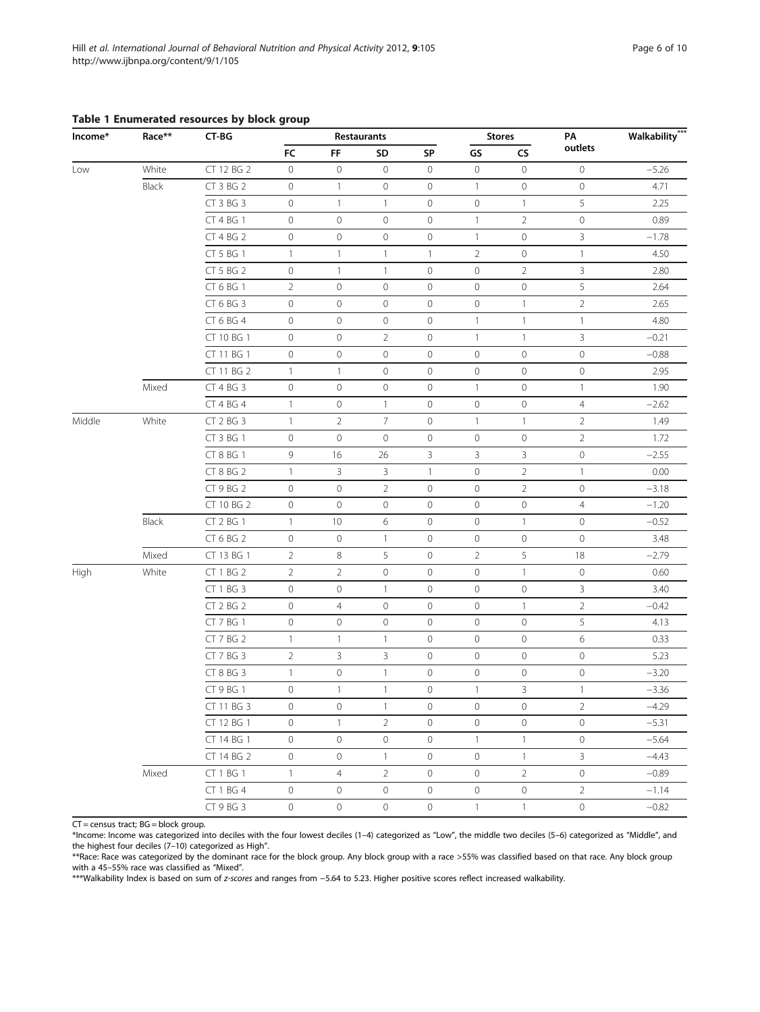<span id="page-5-0"></span>

| Income* | Race** | CT-BG      | Restaurants         |                     |                     | <b>Stores</b>       |                     | PA                  | Walkability***      |         |
|---------|--------|------------|---------------------|---------------------|---------------------|---------------------|---------------------|---------------------|---------------------|---------|
|         |        |            | FC                  | FF                  | SD                  | ${\sf SP}$          | GS                  | <b>CS</b>           | outlets             |         |
| Low     | White  | CT 12 BG 2 | $\mathbf 0$         | $\circ$             | $\circ$             | 0                   | $\mathsf{O}\xspace$ | $\circ$             | $\circ$             | $-5.26$ |
|         | Black  | CT 3 BG 2  | $\circ$             | $\mathbf{1}$        | $\mathbf 0$         | $\overline{0}$      | $\mathbf{1}$        | $\circ$             | $\circ$             | 4.71    |
|         |        | CT 3 BG 3  | 0                   | $\mathbf{1}$        | $\mathbf{1}$        | $\mathbf 0$         | $\mathbf 0$         | $\mathbf{1}$        | 5                   | 2.25    |
|         |        | CT 4 BG 1  | $\mathbf 0$         | $\circ$             | $\mathbf 0$         | $\circ$             | $\mathbf{1}$        | $\overline{2}$      | $\mathsf{O}\xspace$ | 0.89    |
|         |        | CT 4 BG 2  | $\mathbf 0$         | $\mathbb O$         | $\mathbf 0$         | $\mathbb O$         | $\mathbf{1}$        | $\circ$             | $\mathsf{3}$        | $-1.78$ |
|         |        | CT 5 BG 1  | $\mathbf{1}$        | $\mathbf{1}$        | $\mathbf{1}$        | $\mathbf{1}$        | $\overline{2}$      | $\circ$             | $\mathbf{1}$        | 4.50    |
|         |        | CT 5 BG 2  | 0                   | $\mathbf{1}$        | $\mathbf{1}$        | $\circ$             | $\mathsf{O}\xspace$ | $\overline{2}$      | 3                   | 2.80    |
|         |        | CT 6 BG 1  | $\overline{2}$      | $\circledcirc$      | $\mathbf 0$         | $\mathbf 0$         | $\overline{0}$      | $\mathbf 0$         | 5                   | 2.64    |
|         |        | CT 6 BG 3  | $\mathbf 0$         | $\circ$             | $\mathbf 0$         | $\mathsf{O}\xspace$ | $\mathsf{O}\xspace$ | $\mathbf{1}$        | $\overline{2}$      | 2.65    |
|         |        | CT 6 BG 4  | 0                   | $\mathbb O$         | $\mathbf 0$         | $\circ$             | $\mathbf{1}$        | $\mathbf{1}$        | $\mathbf{1}$        | 4.80    |
|         |        | CT 10 BG 1 | 0                   | $\mathsf{O}\xspace$ | $\overline{2}$      | $\circ$             | $\mathbf{1}$        | $\mathbf{1}$        | $\mathbf{3}$        | $-0.21$ |
|         |        | CT 11 BG 1 | $\circ$             | $\circ$             | $\mathsf{O}\xspace$ | $\circ$             | $\mathbf 0$         | $\circ$             | $\mathsf{O}\xspace$ | $-0.88$ |
|         |        | CT 11 BG 2 | $\mathbf{1}$        | $\mathbf{1}$        | $\mathbf 0$         | $\circ$             | 0                   | $\circ$             | $\mathsf{O}\xspace$ | 2.95    |
|         | Mixed  | CT 4 BG 3  | $\mathbf 0$         | $\mathbb O$         | $\mathbf 0$         | $\circledcirc$      | $\mathbf{1}$        | $\circ$             | $\mathbf{1}$        | 1.90    |
|         |        | CT 4 BG 4  | $\mathbf{1}$        | $\mathbb O$         | $\mathbf{1}$        | $\circledcirc$      | $\mathbf 0$         | $\circ$             | $\overline{4}$      | $-2.62$ |
| Middle  | White  | CT 2 BG 3  | $\mathbf{1}$        | $\overline{2}$      | $\overline{7}$      | $\circ$             | $\mathbf{1}$        | $\mathbf{1}$        | $\overline{2}$      | 1.49    |
|         |        | CT 3 BG 1  | $\circ$             | $\circ$             | $\mathbf 0$         | $\circ$             | $\circ$             | $\circ$             | $\overline{2}$      | 1.72    |
|         |        | CT 8 BG 1  | 9                   | 16                  | 26                  | $\overline{3}$      | $\overline{3}$      | $\overline{3}$      | $\mathsf{O}\xspace$ | $-2.55$ |
|         |        | CT 8 BG 2  | $\mathbf{1}$        | $\mathbf{3}$        | $\overline{3}$      | $\mathbf{1}$        | $\mathbf 0$         | $\overline{2}$      | $\mathbf{1}$        | 0.00    |
|         |        | CT 9 BG 2  | $\mathbf 0$         | $\mathbb O$         | $\overline{2}$      | $\mathbb O$         | $\mathbf 0$         | $\overline{2}$      | $\mathsf{O}\xspace$ | $-3.18$ |
|         |        | CT 10 BG 2 | 0                   | $\circ$             | $\mathbf 0$         | $\circledcirc$      | $\mathbf 0$         | $\circ$             | $\overline{4}$      | $-1.20$ |
|         | Black  | CT 2 BG 1  | 1                   | 10 <sup>°</sup>     | 6                   | 0                   | 0                   | $\mathbf{1}$        | $\circ$             | $-0.52$ |
|         |        | CT 6 BG 2  | $\circ$             | $\circ$             | $\mathbf{1}$        | $\circ$             | $\circ$             | $\circ$             | $\mathsf{O}\xspace$ | 3.48    |
|         | Mixed  | CT 13 BG 1 | $\overline{2}$      | 8                   | 5                   | $\circ$             | $\overline{2}$      | 5                   | 18                  | $-2.79$ |
| High    | White  | CT 1 BG 2  | $\overline{2}$      | $\overline{2}$      | $\mathsf{O}\xspace$ | $\mathbb O$         | $\mathbf 0$         | $\mathbf{1}$        | $\mathsf{O}\xspace$ | 0.60    |
|         |        | CT 1 BG 3  | 0                   | $\mathsf{O}\xspace$ | $\mathbf{1}$        | $\circ$             | $\mathbf 0$         | $\circ$             | 3                   | 3.40    |
|         |        | CT 2 BG 2  | $\mathsf{O}\xspace$ | $\overline{4}$      | $\mathsf{O}\xspace$ | $\circ$             | $\mathsf{O}\xspace$ | $\mathbf{1}$        | $\overline{2}$      | $-0.42$ |
|         |        | CT 7 BG 1  | $\mathbf 0$         | $\circ$             | $\mathbf 0$         | $\circledcirc$      | $\mathsf{O}\xspace$ | $\circ$             | 5                   | 4.13    |
|         |        | CT 7 BG 2  | $\mathbf{1}$        | $\mathbf{1}$        | $\mathbf{1}$        | $\circledcirc$      | $\mathbf 0$         | $\circ$             | 6                   | 0.33    |
|         |        | CT 7 BG 3  | $\overline{2}$      | $\mathsf{3}$        | $\overline{3}$      | $\mathbb O$         | $\mathbf 0$         | $\mathsf{O}\xspace$ | $\boldsymbol{0}$    | 5.23    |
|         |        | CT 8 BG 3  | $\mathbf{1}$        | $\mathbf 0$         | $\mathbf{1}$        | $\mathsf{O}\xspace$ | $\mathbf 0$         | 0                   | 0                   | $-3.20$ |
|         |        | CT 9 BG 1  | $\mathbf 0$         | $\mathbf{1}$        | $\mathbf{1}$        | $\circledcirc$      | $\mathbf{1}$        | $\mathbf{3}$        | $\mathbf{1}$        | $-3.36$ |
|         |        | CT 11 BG 3 | 0                   | 0                   | $\mathbf{1}$        | 0                   | 0                   | 0                   | 2                   | $-4.29$ |
|         |        | CT 12 BG 1 | 0                   | $\mathbf{1}$        | $\overline{2}$      | $\circ$             | $\overline{0}$      | $\circ$             | $\mathbf 0$         | $-5.31$ |
|         |        | CT 14 BG 1 | 0                   | $\circ$             | $\mathsf{O}\xspace$ | $\mathsf{O}\xspace$ | $\mathbf{1}$        | $\mathbf{1}$        | 0                   | $-5.64$ |
|         |        | CT 14 BG 2 | 0                   | $\circ$             | $\mathbf{1}$        | $\circ$             | $\mathbf 0$         | $\mathbf{1}$        | 3                   | $-4.43$ |
|         | Mixed  | CT1BG1     | $\mathbf{1}$        | $\overline{4}$      | $\overline{2}$      | $\circ$             | 0                   | $\overline{2}$      | 0                   | $-0.89$ |
|         |        | CT 1 BG 4  | $\circ$             | $\circ$             | 0                   | $\circ$             | $\mathsf{O}\xspace$ | $\mathsf{O}\xspace$ | $\overline{2}$      | $-1.14$ |
|         |        | CT 9 BG 3  | 0                   | $\circ$             | $\circ$             | $\circ$             | $\mathbf{1}$        | $\mathbf{1}$        | 0                   | $-0.82$ |

CT = census tract; BG = block group.

\*Income: Income was categorized into deciles with the four lowest deciles (1–4) categorized as "Low", the middle two deciles (5–6) categorized as "Middle", and the highest four deciles (7–10) categorized as High".

\*\*Race: Race was categorized by the dominant race for the block group. Any block group with a race >55% was classified based on that race. Any block group with a 45–55% race was classified as "Mixed".<br>\*\*\*Walkability Index is based on sum of z-scores and ranges from −5.64 to 5.23. Higher positive scores reflect increased walkability.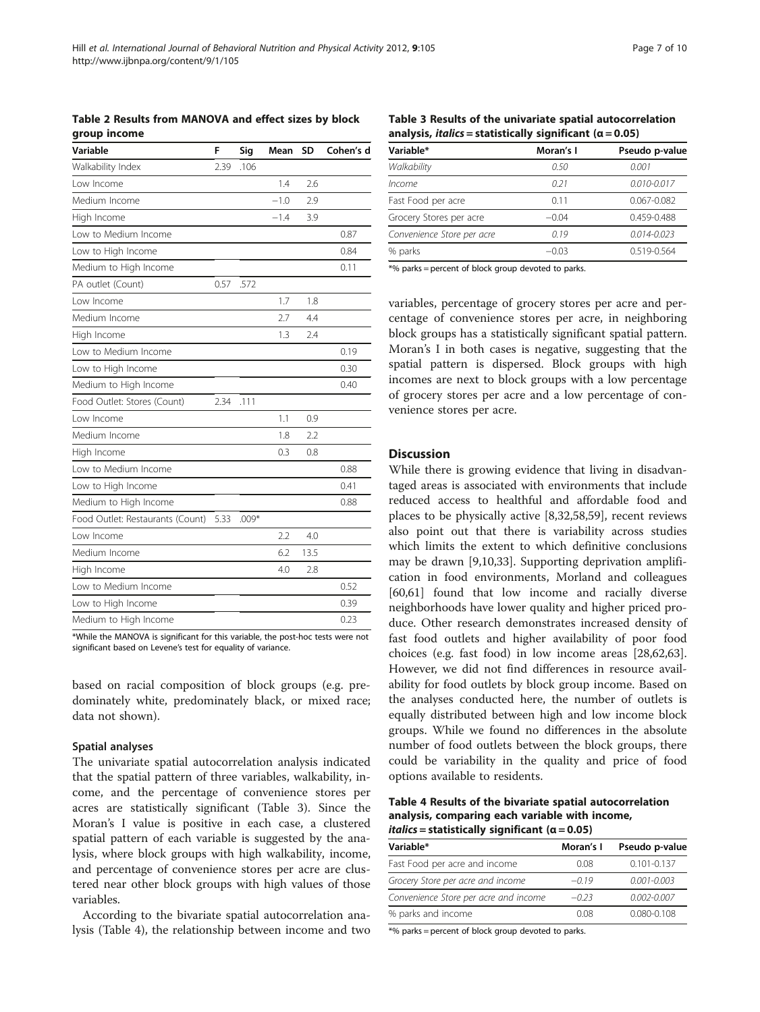<span id="page-6-0"></span>Table 2 Results from MANOVA and effect sizes by block group income

| Variable                         | F    | Sig     | Mean   | SD   | Cohen's d |
|----------------------------------|------|---------|--------|------|-----------|
| Walkability Index                | 2.39 | .106    |        |      |           |
| Low Income                       |      |         | 1.4    | 2.6  |           |
| Medium Income                    |      |         | $-1.0$ | 2.9  |           |
| High Income                      |      |         | $-1.4$ | 3.9  |           |
| Low to Medium Income             |      |         |        |      | 0.87      |
| Low to High Income               |      |         |        |      | 0.84      |
| Medium to High Income            |      |         |        |      | 0.11      |
| PA outlet (Count)                | 0.57 | .572    |        |      |           |
| Low Income                       |      |         | 1.7    | 1.8  |           |
| Medium Income                    |      |         | 2.7    | 4.4  |           |
| High Income                      |      |         | 1.3    | 2.4  |           |
| Low to Medium Income             |      |         |        |      | 0.19      |
| Low to High Income               |      |         |        |      | 0.30      |
| Medium to High Income            |      |         |        |      | 0.40      |
| Food Outlet: Stores (Count)      | 2.34 | .111    |        |      |           |
| Low Income                       |      |         | 1.1    | 0.9  |           |
| Medium Income                    |      |         | 1.8    | 2.2  |           |
| High Income                      |      |         | 0.3    | 0.8  |           |
| Low to Medium Income             |      |         |        |      | 0.88      |
| Low to High Income               |      |         |        |      | 0.41      |
| Medium to High Income            |      |         |        |      | 0.88      |
| Food Outlet: Restaurants (Count) | 5.33 | $.009*$ |        |      |           |
| Low Income                       |      |         | 2.2    | 4.0  |           |
| Medium Income                    |      |         | 6.2    | 13.5 |           |
| High Income                      |      |         | 4.0    | 2.8  |           |
| Low to Medium Income             |      |         |        |      | 0.52      |
| Low to High Income               |      |         |        |      | 0.39      |
| Medium to High Income            |      |         |        |      | 0.23      |

\*While the MANOVA is significant for this variable, the post-hoc tests were not significant based on Levene's test for equality of variance.

based on racial composition of block groups (e.g. predominately white, predominately black, or mixed race; data not shown).

#### Spatial analyses

The univariate spatial autocorrelation analysis indicated that the spatial pattern of three variables, walkability, income, and the percentage of convenience stores per acres are statistically significant (Table 3). Since the Moran's I value is positive in each case, a clustered spatial pattern of each variable is suggested by the analysis, where block groups with high walkability, income, and percentage of convenience stores per acre are clustered near other block groups with high values of those variables.

According to the bivariate spatial autocorrelation analysis (Table 4), the relationship between income and two

|  |                                                                         | Table 3 Results of the univariate spatial autocorrelation |  |
|--|-------------------------------------------------------------------------|-----------------------------------------------------------|--|
|  | analysis, <i>italics</i> = statistically significant ( $\alpha$ = 0.05) |                                                           |  |

| Variable*                  | Moran's I | Pseudo p-value  |  |  |
|----------------------------|-----------|-----------------|--|--|
| Walkability                | 0.50      | 0.001           |  |  |
| Income                     | 0.21      | $0.010 - 0.017$ |  |  |
| Fast Food per acre         | 0.11      | 0.067-0.082     |  |  |
| Grocery Stores per acre    | $-0.04$   | 0.459-0.488     |  |  |
| Convenience Store per acre | 0.19      | 0.014-0.023     |  |  |
| % parks                    | $-0.03$   | 0.519-0.564     |  |  |
|                            |           |                 |  |  |

\*% parks = percent of block group devoted to parks.

variables, percentage of grocery stores per acre and percentage of convenience stores per acre, in neighboring block groups has a statistically significant spatial pattern. Moran's I in both cases is negative, suggesting that the spatial pattern is dispersed. Block groups with high incomes are next to block groups with a low percentage of grocery stores per acre and a low percentage of convenience stores per acre.

#### **Discussion**

While there is growing evidence that living in disadvantaged areas is associated with environments that include reduced access to healthful and affordable food and places to be physically active [\[8,32,](#page-8-0)[58,59\]](#page-9-0), recent reviews also point out that there is variability across studies which limits the extent to which definitive conclusions may be drawn [\[9,10,33](#page-8-0)]. Supporting deprivation amplification in food environments, Morland and colleagues [[60,61\]](#page-9-0) found that low income and racially diverse neighborhoods have lower quality and higher priced produce. Other research demonstrates increased density of fast food outlets and higher availability of poor food choices (e.g. fast food) in low income areas [[28](#page-8-0)[,62,63](#page-9-0)]. However, we did not find differences in resource availability for food outlets by block group income. Based on the analyses conducted here, the number of outlets is equally distributed between high and low income block groups. While we found no differences in the absolute number of food outlets between the block groups, there could be variability in the quality and price of food options available to residents.

Table 4 Results of the bivariate spatial autocorrelation analysis, comparing each variable with income, *italics* = statistically significant ( $\alpha$  = 0.05)

| Variable*                             | Moran's I | Pseudo p-value  |
|---------------------------------------|-----------|-----------------|
| Fast Food per acre and income         | 0.08      | $0.101 - 0.137$ |
| Grocery Store per acre and income     | $-0.19$   | $0.001 - 0.003$ |
| Convenience Store per acre and income | $-0.23$   | $0.002 - 0.007$ |
| % parks and income                    | 0.08      | 0.080-0.108     |

\*% parks = percent of block group devoted to parks.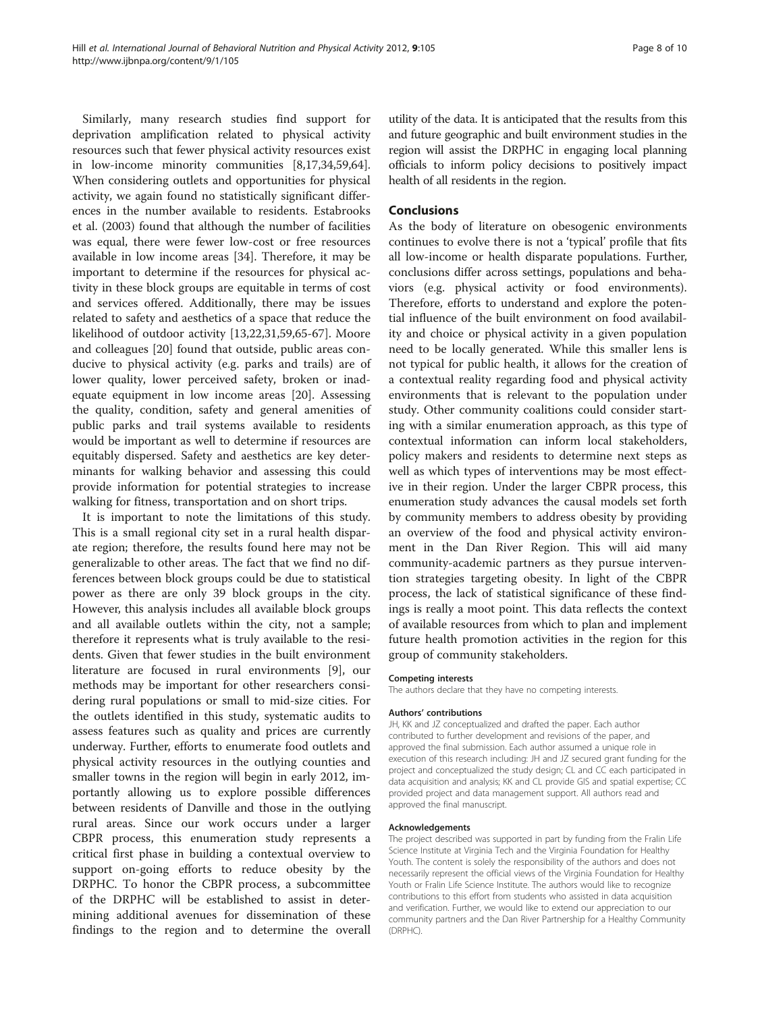Similarly, many research studies find support for deprivation amplification related to physical activity resources such that fewer physical activity resources exist in low-income minority communities [\[8](#page-8-0),[17,34](#page-8-0)[,59,64](#page-9-0)]. When considering outlets and opportunities for physical activity, we again found no statistically significant differences in the number available to residents. Estabrooks et al. (2003) found that although the number of facilities was equal, there were fewer low-cost or free resources available in low income areas [\[34\]](#page-8-0). Therefore, it may be important to determine if the resources for physical activity in these block groups are equitable in terms of cost and services offered. Additionally, there may be issues related to safety and aesthetics of a space that reduce the likelihood of outdoor activity [\[13,22,31](#page-8-0)[,59,65](#page-9-0)-[67](#page-9-0)]. Moore and colleagues [[20\]](#page-8-0) found that outside, public areas conducive to physical activity (e.g. parks and trails) are of lower quality, lower perceived safety, broken or inadequate equipment in low income areas [[20](#page-8-0)]. Assessing the quality, condition, safety and general amenities of public parks and trail systems available to residents would be important as well to determine if resources are equitably dispersed. Safety and aesthetics are key determinants for walking behavior and assessing this could provide information for potential strategies to increase walking for fitness, transportation and on short trips.

It is important to note the limitations of this study. This is a small regional city set in a rural health disparate region; therefore, the results found here may not be generalizable to other areas. The fact that we find no differences between block groups could be due to statistical power as there are only 39 block groups in the city. However, this analysis includes all available block groups and all available outlets within the city, not a sample; therefore it represents what is truly available to the residents. Given that fewer studies in the built environment literature are focused in rural environments [\[9](#page-8-0)], our methods may be important for other researchers considering rural populations or small to mid-size cities. For the outlets identified in this study, systematic audits to assess features such as quality and prices are currently underway. Further, efforts to enumerate food outlets and physical activity resources in the outlying counties and smaller towns in the region will begin in early 2012, importantly allowing us to explore possible differences between residents of Danville and those in the outlying rural areas. Since our work occurs under a larger CBPR process, this enumeration study represents a critical first phase in building a contextual overview to support on-going efforts to reduce obesity by the DRPHC. To honor the CBPR process, a subcommittee of the DRPHC will be established to assist in determining additional avenues for dissemination of these findings to the region and to determine the overall

utility of the data. It is anticipated that the results from this and future geographic and built environment studies in the region will assist the DRPHC in engaging local planning officials to inform policy decisions to positively impact health of all residents in the region.

### Conclusions

As the body of literature on obesogenic environments continues to evolve there is not a 'typical' profile that fits all low-income or health disparate populations. Further, conclusions differ across settings, populations and behaviors (e.g. physical activity or food environments). Therefore, efforts to understand and explore the potential influence of the built environment on food availability and choice or physical activity in a given population need to be locally generated. While this smaller lens is not typical for public health, it allows for the creation of a contextual reality regarding food and physical activity environments that is relevant to the population under study. Other community coalitions could consider starting with a similar enumeration approach, as this type of contextual information can inform local stakeholders, policy makers and residents to determine next steps as well as which types of interventions may be most effective in their region. Under the larger CBPR process, this enumeration study advances the causal models set forth by community members to address obesity by providing an overview of the food and physical activity environment in the Dan River Region. This will aid many community-academic partners as they pursue intervention strategies targeting obesity. In light of the CBPR process, the lack of statistical significance of these findings is really a moot point. This data reflects the context of available resources from which to plan and implement future health promotion activities in the region for this group of community stakeholders.

#### Competing interests

The authors declare that they have no competing interests.

#### Authors' contributions

JH, KK and JZ conceptualized and drafted the paper. Each author contributed to further development and revisions of the paper, and approved the final submission. Each author assumed a unique role in execution of this research including: JH and JZ secured grant funding for the project and conceptualized the study design; CL and CC each participated in data acquisition and analysis; KK and CL provide GIS and spatial expertise; CC provided project and data management support. All authors read and approved the final manuscript.

#### Acknowledgements

The project described was supported in part by funding from the Fralin Life Science Institute at Virginia Tech and the Virginia Foundation for Healthy Youth. The content is solely the responsibility of the authors and does not necessarily represent the official views of the Virginia Foundation for Healthy Youth or Fralin Life Science Institute. The authors would like to recognize contributions to this effort from students who assisted in data acquisition and verification. Further, we would like to extend our appreciation to our community partners and the Dan River Partnership for a Healthy Community (DRPHC).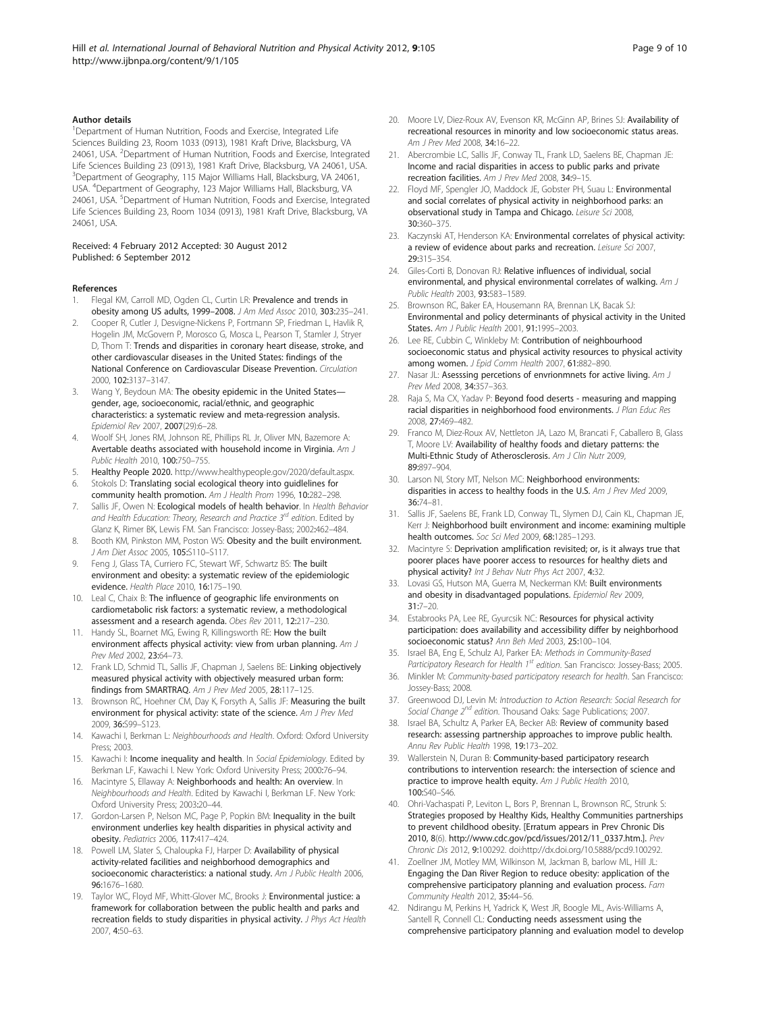#### <span id="page-8-0"></span>Author details

<sup>1</sup>Department of Human Nutrition, Foods and Exercise, Integrated Life Sciences Building 23, Room 1033 (0913), 1981 Kraft Drive, Blacksburg, VA 24061, USA. <sup>2</sup> Department of Human Nutrition, Foods and Exercise, Integrated Life Sciences Building 23 (0913), 1981 Kraft Drive, Blacksburg, VA 24061, USA. <sup>3</sup>Department of Geography, 115 Major Williams Hall, Blacksburg, VA 24061, USA. <sup>4</sup>Department of Geography, 123 Major Williams Hall, Blacksburg, VA 24061, USA. <sup>5</sup>Department of Human Nutrition, Foods and Exercise, Integrated Life Sciences Building 23, Room 1034 (0913), 1981 Kraft Drive, Blacksburg, VA 24061, USA.

#### Received: 4 February 2012 Accepted: 30 August 2012 Published: 6 September 2012

#### References

- 1. Flegal KM, Carroll MD, Ogden CL, Curtin LR: Prevalence and trends in obesity among US adults, 1999–2008. J Am Med Assoc 2010, 303:235–241.
- 2. Cooper R, Cutler J, Desvigne-Nickens P, Fortmann SP, Friedman L, Havlik R, Hogelin JM, McGovern P, Morosco G, Mosca L, Pearson T, Stamler J, Stryer D, Thom T: Trends and disparities in coronary heart disease, stroke, and other cardiovascular diseases in the United States: findings of the National Conference on Cardiovascular Disease Prevention. Circulation 2000, 102:3137–3147.
- 3. Wang Y, Beydoun MA: The obesity epidemic in the United States gender, age, socioeconomic, racial/ethnic, and geographic characteristics: a systematic review and meta-regression analysis. Epidemiol Rev 2007, 2007(29):6–28.
- 4. Woolf SH, Jones RM, Johnson RE, Phillips RL Jr, Oliver MN, Bazemore A: Avertable deaths associated with household income in Virginia. Am J Public Health 2010, 100:750–755.
- Healthy People 2020. [http://www.healthypeople.gov/2020/default.aspx.](http://www.healthypeople.gov/2020/default.aspx)
- 6. Stokols D: Translating social ecological theory into guidlelines for community health promotion. Am J Health Prom 1996, 10:282–298.
- 7. Sallis JF, Owen N: Ecological models of health behavior. In Health Behavior and Health Education: Theory, Research and Practice 3rd edition. Edited by Glanz K, Rimer BK, Lewis FM. San Francisco: Jossey-Bass; 2002:462–484.
- 8. Booth KM, Pinkston MM, Poston WS: Obesity and the built environment. J Am Diet Assoc 2005, 105:S110–S117.
- Feng J, Glass TA, Curriero FC, Stewart WF, Schwartz BS: The built environment and obesity: a systematic review of the epidemiologic evidence. Health Place 2010, 16:175–190.
- 10. Leal C, Chaix B: The influence of geographic life environments on cardiometabolic risk factors: a systematic review, a methodological assessment and a research agenda. Obes Rev 2011, 12:217–230.
- 11. Handy SL, Boarnet MG, Ewing R, Killingsworth RE: How the built environment affects physical activity: view from urban planning. Am J Prev Med 2002, 23:64–73.
- 12. Frank LD, Schmid TL, Sallis JF, Chapman J, Saelens BE: Linking objectively measured physical activity with objectively measured urban form: findings from SMARTRAQ. Am J Prev Med 2005, 28:117–125.
- 13. Brownson RC, Hoehner CM, Day K, Forsyth A, Sallis JF: Measuring the built environment for physical activity: state of the science. Am J Prev Med 2009, 36:S99–S123.
- 14. Kawachi I, Berkman L: Neighbourhoods and Health. Oxford: Oxford University Press; 2003.
- 15. Kawachi I: Income inequality and health. In Social Epidemiology. Edited by Berkman LF, Kawachi I. New York: Oxford University Press; 2000:76–94.
- 16. Macintyre S, Ellaway A: Neighborhoods and health: An overview. In Neighbourhoods and Health. Edited by Kawachi I, Berkman LF. New York: Oxford University Press; 2003:20–44.
- 17. Gordon-Larsen P, Nelson MC, Page P, Popkin BM: Inequality in the built environment underlies key health disparities in physical activity and obesity. Pediatrics 2006, 117:417–424.
- 18. Powell LM, Slater S, Chaloupka FJ, Harper D: Availability of physical activity-related facilities and neighborhood demographics and socioeconomic characteristics: a national study. Am J Public Health 2006, 96:1676–1680.
- 19. Taylor WC, Floyd MF, Whitt-Glover MC, Brooks J: Environmental justice: a framework for collaboration between the public health and parks and recreation fields to study disparities in physical activity. J Phys Act Health 2007, 4:50–63.
- 20. Moore LV, Diez-Roux AV, Evenson KR, McGinn AP, Brines SJ: Availability of recreational resources in minority and low socioeconomic status areas. Am J Prev Med 2008, 34:16–22.
- 21. Abercrombie LC, Sallis JF, Conway TL, Frank LD, Saelens BE, Chapman JE: Income and racial disparities in access to public parks and private recreation facilities. Am J Prev Med 2008, 34:9–15.
- 22. Floyd ME, Spengler JO, Maddock JF, Gobster PH, Suau L: Environmental and social correlates of physical activity in neighborhood parks: an observational study in Tampa and Chicago. Leisure Sci 2008, 30:360–375.
- 23. Kaczynski AT, Henderson KA: Environmental correlates of physical activity: a review of evidence about parks and recreation. Leisure Sci 2007, 29:315–354.
- 24. Giles-Corti B, Donovan RJ: Relative influences of individual, social environmental, and physical environmental correlates of walking. Am J Public Health 2003, 93:583–1589.
- 25. Brownson RC, Baker EA, Housemann RA, Brennan LK, Bacak SJ: Environmental and policy determinants of physical activity in the United States. Am J Public Health 2001, 91:1995–2003.
- 26. Lee RE, Cubbin C, Winkleby M: Contribution of neighbourhood socioeconomic status and physical activity resources to physical activity among women. J Epid Comm Health 2007, 61:882-890.
- 27. Nasar JL: Asesssing percetions of envrionmnets for active living. Am J Prev Med 2008, 34:357–363.
- 28. Raja S, Ma CX, Yadav P: Beyond food deserts measuring and mapping racial disparities in neighborhood food environments. J Plan Educ Res 2008, 27:469–482.
- 29. Franco M, Diez-Roux AV, Nettleton JA, Lazo M, Brancati F, Caballero B, Glass T, Moore LV: Availability of healthy foods and dietary patterns: the Multi-Ethnic Study of Atherosclerosis. Am J Clin Nutr 2009, 89:897–904.
- 30. Larson NI, Story MT, Nelson MC: Neighborhood environments: disparities in access to healthy foods in the U.S. Am J Prev Med 2009, 36:74–81.
- 31. Sallis JF, Saelens BE, Frank LD, Conway TL, Slymen DJ, Cain KL, Chapman JE, Kerr J: Neighborhood built environment and income: examining multiple health outcomes. Soc Sci Med 2009, 68:1285–1293.
- 32. Macintyre S: Deprivation amplification revisited; or, is it always true that poorer places have poorer access to resources for healthy diets and physical activity? Int J Behav Nutr Phys Act 2007, 4:32.
- 33. Lovasi GS, Hutson MA, Guerra M, Neckerman KM: Built environments and obesity in disadvantaged populations. Epidemiol Rev 2009, 31:7–20.
- 34. Estabrooks PA, Lee RE, Gyurcsik NC: Resources for physical activity participation: does availability and accessibility differ by neighborhood socioeconomic status? Ann Beh Med 2003, 25:100–104.
- 35. Israel BA, Eng E, Schulz AJ, Parker EA: Methods in Community-Based Participatory Research for Health 1<sup>st</sup> edition. San Francisco: Jossey-Bass; 2005.
- 36. Minkler M: Community-based participatory research for health. San Francisco: Jossey-Bass; 2008.
- 37. Greenwood DJ, Levin M: Introduction to Action Research: Social Research for Social Change 2<sup>nd</sup> edition. Thousand Oaks: Sage Publications; 2007.
- 38. Israel BA, Schultz A, Parker EA, Becker AB: Review of community based research: assessing partnership approaches to improve public health. Annu Rev Public Health 1998, 19:173–202.
- 39. Wallerstein N, Duran B: Community-based participatory research contributions to intervention research: the intersection of science and practice to improve health equity. Am J Public Health 2010, 100:S40–S46.
- 40. Ohri-Vachaspati P, Leviton L, Bors P, Brennan L, Brownson RC, Strunk S: Strategies proposed by Healthy Kids, Healthy Communities partnerships to prevent childhood obesity. [Erratum appears in Prev Chronic Dis 2010, 8(6). [http://www.cdc.gov/pcd/issues/2012/11\\_0337.htm](http://www.cdc.gov/pcd/issues/2012/11_0337.htm).]. Prev Chronic Dis 2012, 9:100292. doi[:http://dx.doi.org/10.5888/pcd9.100292.](http://dx.doi.org/http://dx.doi.org/10.5888/pcd9.100292)
- 41. Zoellner JM, Motley MM, Wilkinson M, Jackman B, barlow ML, Hill JL: Engaging the Dan River Region to reduce obesity: application of the comprehensive participatory planning and evaluation process. Fam Community Health 2012, 35:44–56.
- 42. Ndirangu M, Perkins H, Yadrick K, West JR, Boogle ML, Avis-Williams A, Santell R, Connell CL: Conducting needs assessment using the comprehensive participatory planning and evaluation model to develop